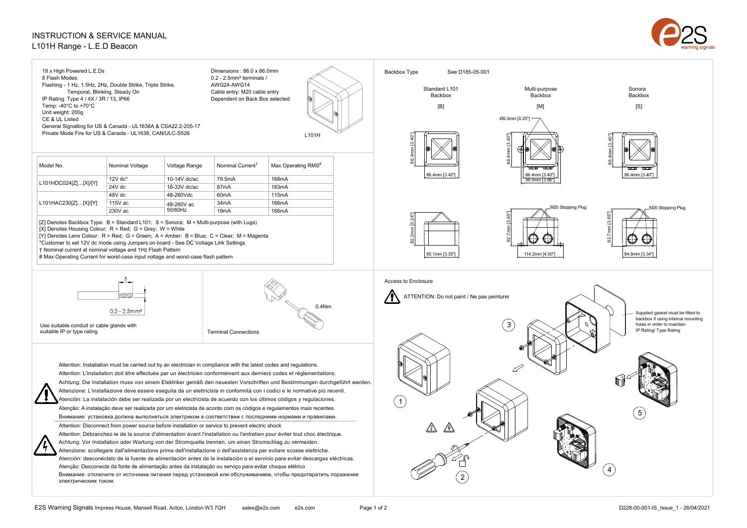## INSTRUCTION & SERVICE MANUAL L101H Range - L.E.D Beacon